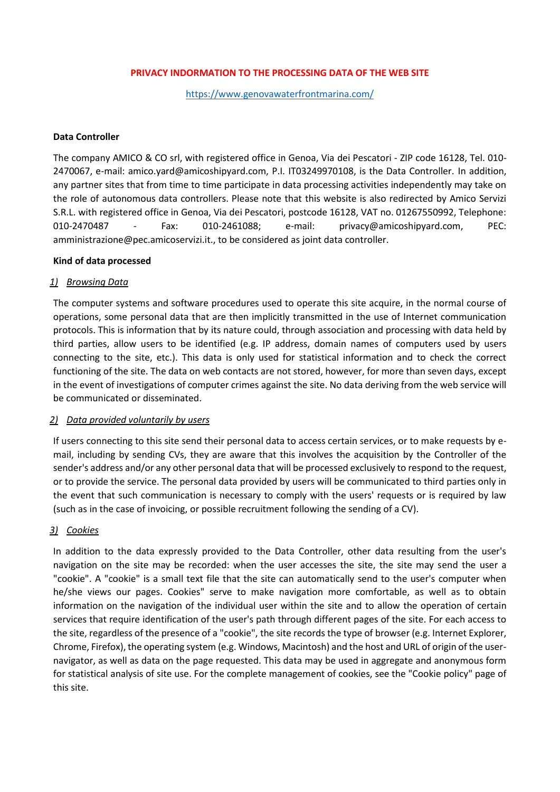### **PRIVACY INDORMATION TO THE PROCESSING DATA OF THE WEB SITE**

<https://www.genovawaterfrontmarina.com/>

#### **Data Controller**

The company AMICO & CO srl, with registered office in Genoa, Via dei Pescatori - ZIP code 16128, Tel. 010- 2470067, e-mail: amico.yard@amicoshipyard.com, P.I. IT03249970108, is the Data Controller. In addition, any partner sites that from time to time participate in data processing activities independently may take on the role of autonomous data controllers. Please note that this website is also redirected by Amico Servizi S.R.L. with registered office in Genoa, Via dei Pescatori, postcode 16128, VAT no. 01267550992, Telephone: 010-2470487 - Fax: 010-2461088; e-mail: privacy@amicoshipyard.com, PEC: amministrazione@pec.amicoservizi.it., to be considered as joint data controller.

### **Kind of data processed**

### *1) Browsing Data*

The computer systems and software procedures used to operate this site acquire, in the normal course of operations, some personal data that are then implicitly transmitted in the use of Internet communication protocols. This is information that by its nature could, through association and processing with data held by third parties, allow users to be identified (e.g. IP address, domain names of computers used by users connecting to the site, etc.). This data is only used for statistical information and to check the correct functioning of the site. The data on web contacts are not stored, however, for more than seven days, except in the event of investigations of computer crimes against the site. No data deriving from the web service will be communicated or disseminated.

#### *2) Data provided voluntarily by users*

If users connecting to this site send their personal data to access certain services, or to make requests by email, including by sending CVs, they are aware that this involves the acquisition by the Controller of the sender's address and/or any other personal data that will be processed exclusively to respond to the request, or to provide the service. The personal data provided by users will be communicated to third parties only in the event that such communication is necessary to comply with the users' requests or is required by law (such as in the case of invoicing, or possible recruitment following the sending of a CV).

# *3) Cookies*

In addition to the data expressly provided to the Data Controller, other data resulting from the user's navigation on the site may be recorded: when the user accesses the site, the site may send the user a "cookie". A "cookie" is a small text file that the site can automatically send to the user's computer when he/she views our pages. Cookies" serve to make navigation more comfortable, as well as to obtain information on the navigation of the individual user within the site and to allow the operation of certain services that require identification of the user's path through different pages of the site. For each access to the site, regardless of the presence of a "cookie", the site records the type of browser (e.g. Internet Explorer, Chrome, Firefox), the operating system (e.g. Windows, Macintosh) and the host and URL of origin of the usernavigator, as well as data on the page requested. This data may be used in aggregate and anonymous form for statistical analysis of site use. For the complete management of cookies, see the "Cookie policy" page of this site.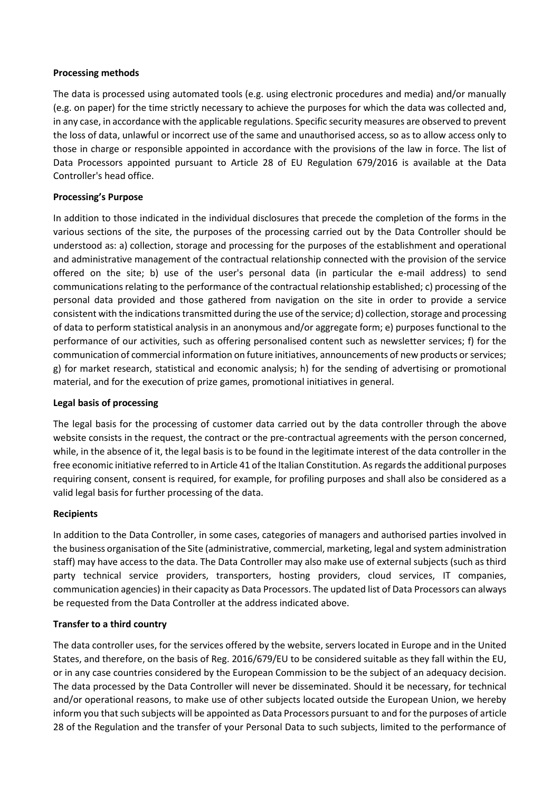### **Processing methods**

The data is processed using automated tools (e.g. using electronic procedures and media) and/or manually (e.g. on paper) for the time strictly necessary to achieve the purposes for which the data was collected and, in any case, in accordance with the applicable regulations. Specific security measures are observed to prevent the loss of data, unlawful or incorrect use of the same and unauthorised access, so as to allow access only to those in charge or responsible appointed in accordance with the provisions of the law in force. The list of Data Processors appointed pursuant to Article 28 of EU Regulation 679/2016 is available at the Data Controller's head office.

### **Processing's Purpose**

In addition to those indicated in the individual disclosures that precede the completion of the forms in the various sections of the site, the purposes of the processing carried out by the Data Controller should be understood as: a) collection, storage and processing for the purposes of the establishment and operational and administrative management of the contractual relationship connected with the provision of the service offered on the site; b) use of the user's personal data (in particular the e-mail address) to send communications relating to the performance of the contractual relationship established; c) processing of the personal data provided and those gathered from navigation on the site in order to provide a service consistent with the indications transmitted during the use of the service; d) collection, storage and processing of data to perform statistical analysis in an anonymous and/or aggregate form; e) purposes functional to the performance of our activities, such as offering personalised content such as newsletter services; f) for the communication of commercial information on future initiatives, announcements of new products or services; g) for market research, statistical and economic analysis; h) for the sending of advertising or promotional material, and for the execution of prize games, promotional initiatives in general.

#### **Legal basis of processing**

The legal basis for the processing of customer data carried out by the data controller through the above website consists in the request, the contract or the pre-contractual agreements with the person concerned, while, in the absence of it, the legal basis is to be found in the legitimate interest of the data controller in the free economic initiative referred to in Article 41 of the Italian Constitution. As regards the additional purposes requiring consent, consent is required, for example, for profiling purposes and shall also be considered as a valid legal basis for further processing of the data.

#### **Recipients**

In addition to the Data Controller, in some cases, categories of managers and authorised parties involved in the business organisation of the Site (administrative, commercial, marketing, legal and system administration staff) may have access to the data. The Data Controller may also make use of external subjects (such as third party technical service providers, transporters, hosting providers, cloud services, IT companies, communication agencies) in their capacity as Data Processors. The updated list of Data Processors can always be requested from the Data Controller at the address indicated above.

#### **Transfer to a third country**

The data controller uses, for the services offered by the website, servers located in Europe and in the United States, and therefore, on the basis of Reg. 2016/679/EU to be considered suitable as they fall within the EU, or in any case countries considered by the European Commission to be the subject of an adequacy decision. The data processed by the Data Controller will never be disseminated. Should it be necessary, for technical and/or operational reasons, to make use of other subjects located outside the European Union, we hereby inform you that such subjects will be appointed as Data Processors pursuant to and for the purposes of article 28 of the Regulation and the transfer of your Personal Data to such subjects, limited to the performance of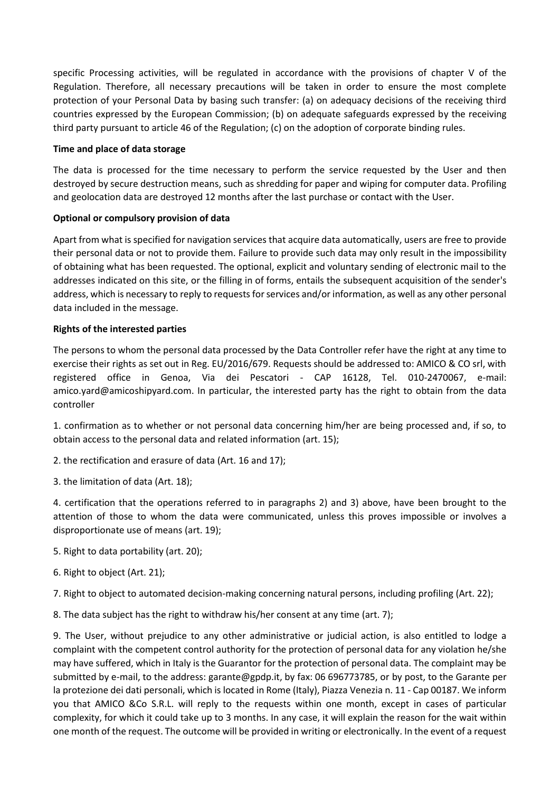specific Processing activities, will be regulated in accordance with the provisions of chapter V of the Regulation. Therefore, all necessary precautions will be taken in order to ensure the most complete protection of your Personal Data by basing such transfer: (a) on adequacy decisions of the receiving third countries expressed by the European Commission; (b) on adequate safeguards expressed by the receiving third party pursuant to article 46 of the Regulation; (c) on the adoption of corporate binding rules.

### **Time and place of data storage**

The data is processed for the time necessary to perform the service requested by the User and then destroyed by secure destruction means, such as shredding for paper and wiping for computer data. Profiling and geolocation data are destroyed 12 months after the last purchase or contact with the User.

# **Optional or compulsory provision of data**

Apart from what is specified for navigation services that acquire data automatically, users are free to provide their personal data or not to provide them. Failure to provide such data may only result in the impossibility of obtaining what has been requested. The optional, explicit and voluntary sending of electronic mail to the addresses indicated on this site, or the filling in of forms, entails the subsequent acquisition of the sender's address, which is necessary to reply to requests for services and/or information, as well as any other personal data included in the message.

# **Rights of the interested parties**

The persons to whom the personal data processed by the Data Controller refer have the right at any time to exercise their rights as set out in Reg. EU/2016/679. Requests should be addressed to: AMICO & CO srl, with registered office in Genoa, Via dei Pescatori - CAP 16128, Tel. 010-2470067, e-mail: amico.yard@amicoshipyard.com. In particular, the interested party has the right to obtain from the data controller

1. confirmation as to whether or not personal data concerning him/her are being processed and, if so, to obtain access to the personal data and related information (art. 15);

- 2. the rectification and erasure of data (Art. 16 and 17);
- 3. the limitation of data (Art. 18);

4. certification that the operations referred to in paragraphs 2) and 3) above, have been brought to the attention of those to whom the data were communicated, unless this proves impossible or involves a disproportionate use of means (art. 19);

- 5. Right to data portability (art. 20);
- 6. Right to object (Art. 21);
- 7. Right to object to automated decision-making concerning natural persons, including profiling (Art. 22);

8. The data subject has the right to withdraw his/her consent at any time (art. 7);

9. The User, without prejudice to any other administrative or judicial action, is also entitled to lodge a complaint with the competent control authority for the protection of personal data for any violation he/she may have suffered, which in Italy is the Guarantor for the protection of personal data. The complaint may be submitted by e-mail, to the address: garante@gpdp.it, by fax: 06 696773785, or by post, to the Garante per la protezione dei dati personali, which is located in Rome (Italy), Piazza Venezia n. 11 - Cap 00187. We inform you that AMICO &Co S.R.L. will reply to the requests within one month, except in cases of particular complexity, for which it could take up to 3 months. In any case, it will explain the reason for the wait within one month of the request. The outcome will be provided in writing or electronically. In the event of a request